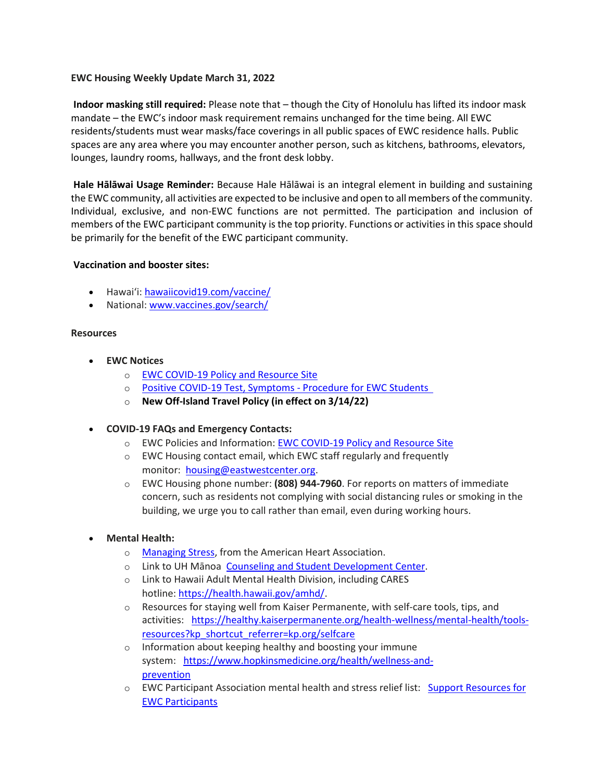### **EWC Housing Weekly Update March 31, 2022**

**Indoor masking still required:** Please note that – though the City of Honolulu has lifted its indoor mask mandate – the EWC's indoor mask requirement remains unchanged for the time being. All EWC residents/students must wear masks/face coverings in all public spaces of EWC residence halls. Public spaces are any area where you may encounter another person, such as kitchens, bathrooms, elevators, lounges, laundry rooms, hallways, and the front desk lobby.

**Hale Hālāwai Usage Reminder:** Because Hale Hālāwai is an integral element in building and sustaining the EWC community, all activities are expected to be inclusive and open to all members of the community. Individual, exclusive, and non-EWC functions are not permitted. The participation and inclusion of members of the EWC participant community is the top priority. Functions or activities in this space should be primarily for the benefit of the EWC participant community.

#### **Vaccination and booster sites:**

- Hawaiʻi: [hawaiicovid19.com/vaccine/](https://hawaiicovid19.com/vaccine/)
- National[: www.vaccines.gov/search/](https://urldefense.proofpoint.com/v2/url?u=https-3A__www.vaccines.gov_search_&d=DwMFaQ&c=euGZstcaTDllvimEN8b7jXrwqOf-v5A_CdpgnVfiiMM&r=sjCoHaVUe8_a1MXsziR411ri4sB3BX3q50L3el6sXMQ&m=fEHVie6q0AHH7A2kZlP1RoAtPmPXZ_VuRXsBWZPrcMQ&s=xAyTcszI_RUUm1hY4DoHcNCwlJwyG5Y1rsPonsTj_8g&e=)

#### **Resources**

- **EWC Notices**
	- o [EWC COVID-19 Policy and Resource Site](https://urldefense.proofpoint.com/v2/url?u=https-3A__ewcparticipantinfo.org_covid-2D19_&d=DwMFaQ&c=euGZstcaTDllvimEN8b7jXrwqOf-v5A_CdpgnVfiiMM&r=3FPQcXK5sxYRrGCCxQc5PNSb-_SuaL_bSgfyHLgu3XI&m=NeEuRGBZcB6XdPpyhoUn4swvNjBnveDWGZ1brp8cIwI&s=psWXjZhChjGDJkHaOVt2bwTJxxk1NVhXgu70sXTpbpE&e=)
	- o Positive COVID-19 [Test, Symptoms](https://urldefense.proofpoint.com/v2/url?u=https-3A__ewcparticipantinfo.org_wp-2Dcontent_uploads_2021_11_Positive-2DTest-2DSymptoms-2DProcedure-2Dfor-2DStudents.pdf&d=DwMFaQ&c=euGZstcaTDllvimEN8b7jXrwqOf-v5A_CdpgnVfiiMM&r=sjCoHaVUe8_a1MXsziR411ri4sB3BX3q50L3el6sXMQ&m=fEHVie6q0AHH7A2kZlP1RoAtPmPXZ_VuRXsBWZPrcMQ&s=bbcLdKXrQQMkoYxQJgoGhLj9Q-i2Pe8p3Eap-vhRwxo&e=) Procedure for EWC Students
	- o **[New Off-Island Travel Policy \(in effect on 3/14/22\)](https://urldefense.proofpoint.com/v2/url?u=https-3A__ewcparticipantinfo.org_wp-2Dcontent_uploads_2022_02_Travel-2DPolicy-2DUpdated-2D3.14.22.pdf&d=DwMFaQ&c=euGZstcaTDllvimEN8b7jXrwqOf-v5A_CdpgnVfiiMM&r=sjCoHaVUe8_a1MXsziR411ri4sB3BX3q50L3el6sXMQ&m=fEHVie6q0AHH7A2kZlP1RoAtPmPXZ_VuRXsBWZPrcMQ&s=Dnuh9sQHoIO-3we3OPShBb7MYLMq8XT74Czaz7JASK4&e=)**
- **COVID-19 FAQs and Emergency Contacts:**
	- o EWC Policies and Information: [EWC COVID-19 Policy and Resource Site](https://urldefense.proofpoint.com/v2/url?u=https-3A__ewcparticipantinfo.org_covid-2D19_&d=DwMFaQ&c=euGZstcaTDllvimEN8b7jXrwqOf-v5A_CdpgnVfiiMM&r=3FPQcXK5sxYRrGCCxQc5PNSb-_SuaL_bSgfyHLgu3XI&m=NeEuRGBZcB6XdPpyhoUn4swvNjBnveDWGZ1brp8cIwI&s=psWXjZhChjGDJkHaOVt2bwTJxxk1NVhXgu70sXTpbpE&e=)
	- o EWC Housing contact email, which EWC staff regularly and frequently monitor: [housing@eastwestcenter.org.](mailto:housing@eastwestcenter.org)
	- o EWC Housing phone number: **(808) 944-7960**. For reports on matters of immediate concern, such as residents not complying with social distancing rules or smoking in the building, we urge you to call rather than email, even during working hours.
- **Mental Health:**
	- o [Managing Stress,](https://urldefense.proofpoint.com/v2/url?u=https-3A__www.heart.org_en_healthy-2Dliving_healthy-2Dlifestyle_stress-2Dmanagement_3-2Dtips-2Dto-2Dmanage-2Dstress&d=DwMFaQ&c=euGZstcaTDllvimEN8b7jXrwqOf-v5A_CdpgnVfiiMM&r=3FPQcXK5sxYRrGCCxQc5PNSb-_SuaL_bSgfyHLgu3XI&m=DFa_g2AmhabelwvrqHcTxuYqCMz5HzQYOl-ITmKQUfY&s=brkk3h1YsapP-lIVcxt7MNYAlm4bQtz7YKIJGofeUkY&e=) from the American Heart Association.
	- o Link to UH Mānoa [Counseling and Student Development Center.](https://urldefense.proofpoint.com/v2/url?u=http-3A__www.manoa.hawaii.edu_counseling&d=DwMFaQ&c=euGZstcaTDllvimEN8b7jXrwqOf-v5A_CdpgnVfiiMM&r=3FPQcXK5sxYRrGCCxQc5PNSb-_SuaL_bSgfyHLgu3XI&m=am0JUX--VmENU0jPP_iW6ma-yLR9-vpVCXYuYLP_pnQ&s=KLUr2I-87m8x7gT-LRZ1FsUmDxTlS04cGYG1bEY4eOo&e=)
	- o Link to Hawaii Adult Mental Health Division, including CARES hotline: [https://health.hawaii.gov/amhd/.](https://urldefense.proofpoint.com/v2/url?u=https-3A__health.hawaii.gov_amhd_&d=DwMFaQ&c=euGZstcaTDllvimEN8b7jXrwqOf-v5A_CdpgnVfiiMM&r=3FPQcXK5sxYRrGCCxQc5PNSb-_SuaL_bSgfyHLgu3XI&m=am0JUX--VmENU0jPP_iW6ma-yLR9-vpVCXYuYLP_pnQ&s=jGly2XqRyYGfSfcDeFQPHXOriK3LXX4ijFkZpV1I3l0&e=)
	- o Resources for staying well from Kaiser Permanente, with self-care tools, tips, and activities: [https://healthy.kaiserpermanente.org/health-wellness/mental-health/tools](https://urldefense.proofpoint.com/v2/url?u=https-3A__healthy.kaiserpermanente.org_health-2Dwellness_mental-2Dhealth_tools-2Dresources-3Fkp-5Fshortcut-5Freferrer-3Dkp.org_selfcare&d=DwMFaQ&c=euGZstcaTDllvimEN8b7jXrwqOf-v5A_CdpgnVfiiMM&r=3FPQcXK5sxYRrGCCxQc5PNSb-_SuaL_bSgfyHLgu3XI&m=Rbwxxn-uK8FQYTkEAvPhMEKvL03Z3qaRx6Mfv78EfmQ&s=WgR2DHjakUKCqJM0vJM8s8S_NAf2yZItFCWP7XTUlcc&e=)[resources?kp\\_shortcut\\_referrer=kp.org/selfcare](https://urldefense.proofpoint.com/v2/url?u=https-3A__healthy.kaiserpermanente.org_health-2Dwellness_mental-2Dhealth_tools-2Dresources-3Fkp-5Fshortcut-5Freferrer-3Dkp.org_selfcare&d=DwMFaQ&c=euGZstcaTDllvimEN8b7jXrwqOf-v5A_CdpgnVfiiMM&r=3FPQcXK5sxYRrGCCxQc5PNSb-_SuaL_bSgfyHLgu3XI&m=Rbwxxn-uK8FQYTkEAvPhMEKvL03Z3qaRx6Mfv78EfmQ&s=WgR2DHjakUKCqJM0vJM8s8S_NAf2yZItFCWP7XTUlcc&e=)
	- o Information about keeping healthy and boosting your immune system: [https://www.hopkinsmedicine.org/health/wellness-and](https://urldefense.proofpoint.com/v2/url?u=https-3A__www.hopkinsmedicine.org_health_wellness-2Dand-2Dprevention&d=DwMFaQ&c=euGZstcaTDllvimEN8b7jXrwqOf-v5A_CdpgnVfiiMM&r=fzUXRvrK_egS-3t73UD_VQPWmsmmjR5g7liOveFRwTw&m=xQ1KMiKCgTEeIFLcoiItEyinYylVRMHzLz16Rh2E7OE&s=MLYw596o8ko-W_NETjId73A6wPdC94HCfkzyO-_cxq0&e=)[prevention](https://urldefense.proofpoint.com/v2/url?u=https-3A__www.hopkinsmedicine.org_health_wellness-2Dand-2Dprevention&d=DwMFaQ&c=euGZstcaTDllvimEN8b7jXrwqOf-v5A_CdpgnVfiiMM&r=fzUXRvrK_egS-3t73UD_VQPWmsmmjR5g7liOveFRwTw&m=xQ1KMiKCgTEeIFLcoiItEyinYylVRMHzLz16Rh2E7OE&s=MLYw596o8ko-W_NETjId73A6wPdC94HCfkzyO-_cxq0&e=)
	- o EWC Participant Association mental health and stress relief list: [Support Resources for](https://urldefense.proofpoint.com/v2/url?u=https-3A__content.getrave.com_content_5958154_b0e6c8eb-2D04ae-2D4fda-2D8b24-2Dc52d32318225_8d91da0e-2Db462-2D4c5b-2D815f-2D570227036179_Support-5FResources-5Ffor-5FEWC-5FStudents.pdf&d=DwMFaQ&c=euGZstcaTDllvimEN8b7jXrwqOf-v5A_CdpgnVfiiMM&r=fzUXRvrK_egS-3t73UD_VQPWmsmmjR5g7liOveFRwTw&m=xQ1KMiKCgTEeIFLcoiItEyinYylVRMHzLz16Rh2E7OE&s=OP6EvOWHfV2zxF3nz8Y8WTudS4Rae1oYrLMe7eHjJW8&e=)  [EWC Participants](https://urldefense.proofpoint.com/v2/url?u=https-3A__content.getrave.com_content_5958154_b0e6c8eb-2D04ae-2D4fda-2D8b24-2Dc52d32318225_8d91da0e-2Db462-2D4c5b-2D815f-2D570227036179_Support-5FResources-5Ffor-5FEWC-5FStudents.pdf&d=DwMFaQ&c=euGZstcaTDllvimEN8b7jXrwqOf-v5A_CdpgnVfiiMM&r=fzUXRvrK_egS-3t73UD_VQPWmsmmjR5g7liOveFRwTw&m=xQ1KMiKCgTEeIFLcoiItEyinYylVRMHzLz16Rh2E7OE&s=OP6EvOWHfV2zxF3nz8Y8WTudS4Rae1oYrLMe7eHjJW8&e=)